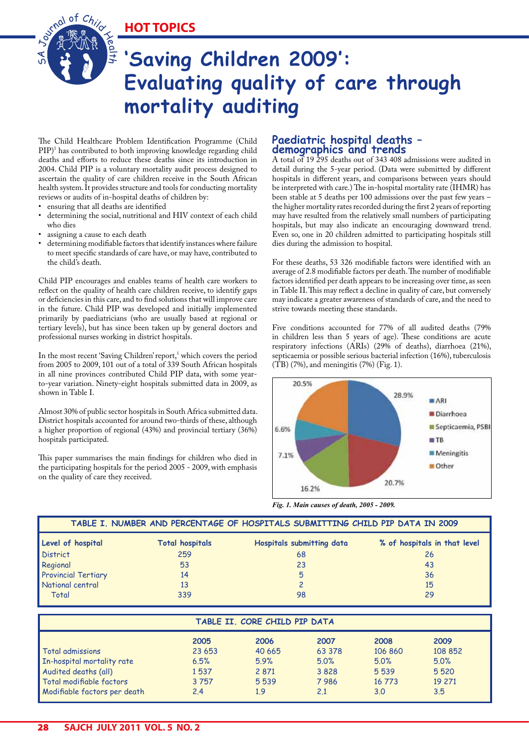**HOT TOPICS**

# **'Saving Children 2009': Evaluating quality of care through mortality auditing**

The Child Healthcare Problem Identification Programme (Child PIP)1 has contributed to both improving knowledge regarding child deaths and efforts to reduce these deaths since its introduction in 2004. Child PIP is a voluntary mortality audit process designed to ascertain the quality of care children receive in the South African health system. It provides structure and tools for conducting mortality reviews or audits of in-hospital deaths of children by:

• ensuring that all deaths are identified

l $\,$ ح

- determining the social, nutritional and HIV context of each child who dies
- assigning a cause to each death

S A

Journal of Child

• determining modifiable factors that identify instances where failure to meet specific standards of care have, or may have, contributed to the child's death.

Child PIP encourages and enables teams of health care workers to reflect on the quality of health care children receive, to identify gaps or deficiencies in this care, and to find solutions that will improve care in the future. Child PIP was developed and initially implemented primarily by paediatricians (who are usually based at regional or tertiary levels), but has since been taken up by general doctors and professional nurses working in district hospitals.

In the most recent 'Saving Children' report,<sup>1</sup> which covers the period from 2005 to 2009, 101 out of a total of 339 South African hospitals in all nine provinces contributed Child PIP data, with some yearto-year variation. Ninety-eight hospitals submitted data in 2009, as shown in Table I.

Almost 30% of public sector hospitals in South Africa submitted data. District hospitals accounted for around two-thirds of these, although a higher proportion of regional (43%) and provincial tertiary (36%) hospitals participated.

This paper summarises the main findings for children who died in the participating hospitals for the period 2005 - 2009, with emphasis on the quality of care they received.

# **Paediatric hospital deaths – demographics and trends**

A total of 19 295 deaths out of 343 408 admissions were audited in detail during the 5-year period. (Data were submitted by different hospitals in different years, and comparisons between years should be interpreted with care.) The in-hospital mortality rate (IHMR) has been stable at 5 deaths per 100 admissions over the past few years – the higher mortality rates recorded during the first 2 years of reporting may have resulted from the relatively small numbers of participating hospitals, but may also indicate an encouraging downward trend. Even so, one in 20 children admitted to participating hospitals still dies during the admission to hospital.

For these deaths, 53 326 modifiable factors were identified with an average of 2.8 modifiable factors per death. The number of modifiable factors identified per death appears to be increasing over time, as seen in Table II. This may reflect a decline in quality of care, but conversely may indicate a greater awareness of standards of care, and the need to strive towards meeting these standards.

Five conditions accounted for 77% of all audited deaths (79% in children less than 5 years of age). These conditions are acute respiratory infections (ARIs) (29% of deaths), diarrhoea (21%), septicaemia or possible serious bacterial infection (16%), tuberculosis  $(TB)$  (7%), and meningitis (7%) (Fig. 1).



*Fig. 1. Main causes of death, 2005 - 2009.*

| TABLE I. NUMBER AND PERCENTAGE OF HOSPITALS SUBMITTING CHILD PIP DATA IN 2009 |                        |                           |                              |  |  |  |  |
|-------------------------------------------------------------------------------|------------------------|---------------------------|------------------------------|--|--|--|--|
| Level of hospital                                                             | <b>Total hospitals</b> | Hospitals submitting data | % of hospitals in that level |  |  |  |  |
| <b>District</b>                                                               | 259                    | 68                        | 26                           |  |  |  |  |
| Regional                                                                      | 53                     | 23                        | 43                           |  |  |  |  |
| <b>Provincial Tertiary</b>                                                    | 14                     | 5                         | 36                           |  |  |  |  |
| National central                                                              | 13                     |                           | 15                           |  |  |  |  |
| Total                                                                         | 339                    | 98                        | 29                           |  |  |  |  |

| TABLE II. CORE CHILD PIP DATA |        |         |        |         |         |  |  |
|-------------------------------|--------|---------|--------|---------|---------|--|--|
|                               | 2005   | 2006    | 2007   | 2008    | 2009    |  |  |
| Total admissions              | 23 653 | 40 665  | 63 378 | 106 860 | 108 852 |  |  |
| In-hospital mortality rate    | 6.5%   | 5.9%    | 5.0%   | 5.0%    | 5.0%    |  |  |
| Audited deaths (all)          | 1537   | 2 8 7 1 | 3828   | 5539    | 5 5 20  |  |  |
| Total modifiable factors      | 3757   | 5539    | 7986   | 16 773  | 19 271  |  |  |
| Modifiable factors per death  | 2.4    | 1.9     | 2.1    | 3.0     | 3.5     |  |  |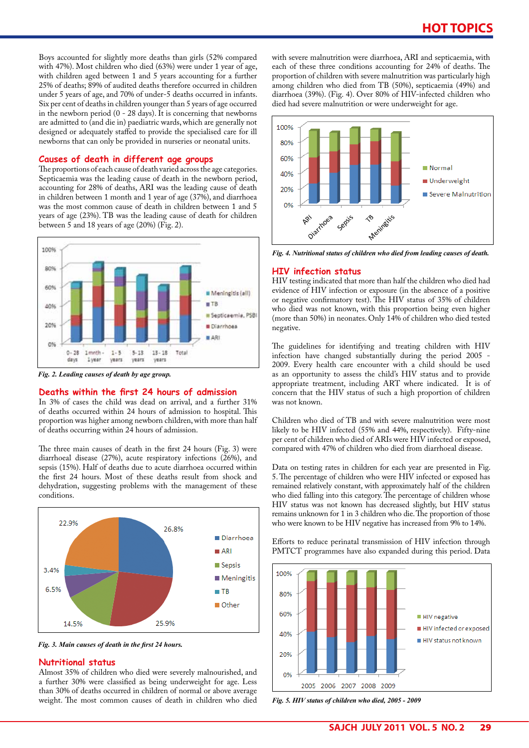Boys accounted for slightly more deaths than girls (52% compared with 47%). Most children who died (63%) were under 1 year of age, with children aged between 1 and 5 years accounting for a further 25% of deaths; 89% of audited deaths therefore occurred in children under 5 years of age, and 70% of under-5 deaths occurred in infants. Six per cent of deaths in children younger than 5 years of age occurred in the newborn period (0 - 28 days). It is concerning that newborns are admitted to (and die in) paediatric wards, which are generally not designed or adequately staffed to provide the specialised care for ill newborns that can only be provided in nurseries or neonatal units.

### **Causes of death in different age groups**

The proportions of each cause of death varied across the age categories. Septicaemia was the leading cause of death in the newborn period, accounting for 28% of deaths, ARI was the leading cause of death in children between 1 month and 1 year of age (37%), and diarrhoea was the most common cause of death in children between 1 and 5 years of age (23%). TB was the leading cause of death for children between 5 and 18 years of age (20%) (Fig. 2).



*Fig. 2. Leading causes of death by age group.* 

#### **Deaths within the first 24 hours of admission**

In 3% of cases the child was dead on arrival, and a further 31% of deaths occurred within 24 hours of admission to hospital. This proportion was higher among newborn children, with more than half of deaths occurring within 24 hours of admission.

The three main causes of death in the first 24 hours (Fig. 3) were diarrhoeal disease (27%), acute respiratory infections (26%), and sepsis (15%). Half of deaths due to acute diarrhoea occurred within the first 24 hours. Most of these deaths result from shock and dehydration, suggesting problems with the management of these conditions.



*Fig. 3. Main causes of death in the first 24 hours.*

#### **Nutritional status**

Almost 35% of children who died were severely malnourished, and a further 30% were classified as being underweight for age. Less than 30% of deaths occurred in children of normal or above average weight. The most common causes of death in children who died with severe malnutrition were diarrhoea, ARI and septicaemia, with each of these three conditions accounting for 24% of deaths. The proportion of children with severe malnutrition was particularly high among children who died from TB (50%), septicaemia (49%) and diarrhoea (39%). (Fig. 4). Over 80% of HIV-infected children who died had severe malnutrition or were underweight for age.



*Fig. 4. Nutritional status of children who died from leading causes of death.*

#### **HIV infection status**

HIV testing indicated that more than half the children who died had evidence of HIV infection or exposure (in the absence of a positive or negative confirmatory test). The HIV status of 35% of children who died was not known, with this proportion being even higher (more than 50%) in neonates. Only 14% of children who died tested negative.

The guidelines for identifying and treating children with HIV infection have changed substantially during the period 2005 - 2009. Every health care encounter with a child should be used as an opportunity to assess the child's HIV status and to provide appropriate treatment, including ART where indicated. It is of concern that the HIV status of such a high proportion of children was not known.

Children who died of TB and with severe malnutrition were most likely to be HIV infected (55% and 44%, respectively). Fifty-nine per cent of children who died of ARIs were HIV infected or exposed, compared with 47% of children who died from diarrhoeal disease.

Data on testing rates in children for each year are presented in Fig. 5. The percentage of children who were HIV infected or exposed has remained relatively constant, with approximately half of the children who died falling into this category. The percentage of children whose HIV status was not known has decreased slightly, but HIV status remains unknown for 1 in 3 children who die. The proportion of those who were known to be HIV negative has increased from 9% to 14%.

Efforts to reduce perinatal transmission of HIV infection through PMTCT programmes have also expanded during this period. Data



*Fig. 5. HIV status of children who died, 2005 - 2009*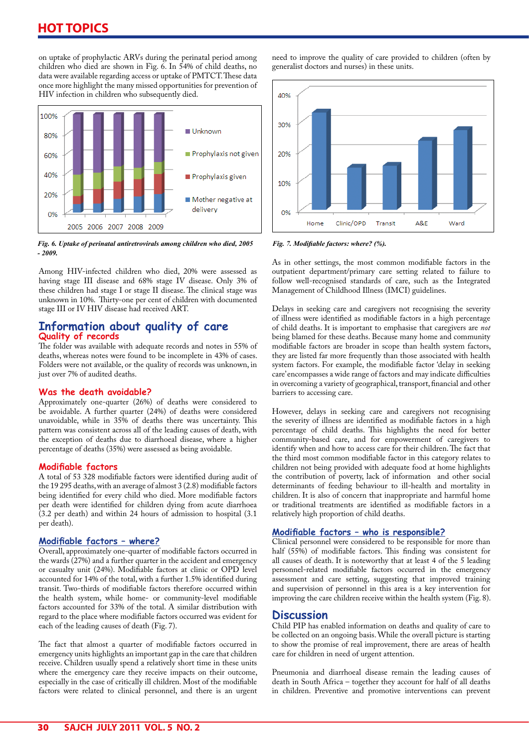# **HOT TOPICS**

on uptake of prophylactic ARVs during the perinatal period among children who died are shown in Fig. 6. In 54% of child deaths, no data were available regarding access or uptake of PMTCT. These data once more highlight the many missed opportunities for prevention of HIV infection in children who subsequently died.

![](_page_2_Figure_2.jpeg)

*Fig. 6. Uptake of perinatal antiretrovirals among children who died, 2005 - 2009.*

Among HIV-infected children who died, 20% were assessed as having stage III disease and 68% stage IV disease. Only 3% of these children had stage I or stage II disease. The clinical stage was unknown in 10%. Thirty-one per cent of children with documented stage III or IV HIV disease had received ART.

# **Information about quality of care Quality of records**

The folder was available with adequate records and notes in 55% of deaths, whereas notes were found to be incomplete in 43% of cases. Folders were not available, or the quality of records was unknown, in just over 7% of audited deaths.

# **Was the death avoidable?**

Approximately one-quarter (26%) of deaths were considered to be avoidable. A further quarter (24%) of deaths were considered unavoidable, while in 35% of deaths there was uncertainty. This pattern was consistent across all of the leading causes of death, with the exception of deaths due to diarrhoeal disease, where a higher percentage of deaths (35%) were assessed as being avoidable.

### **Modifiable factors**

A total of 53 328 modifiable factors were identified during audit of the 19 295 deaths, with an average of almost 3 (2.8) modifiable factors being identified for every child who died. More modifiable factors per death were identified for children dying from acute diarrhoea (3.2 per death) and within 24 hours of admission to hospital (3.1 per death).

### **Modifiable factors – where?**

Overall, approximately one-quarter of modifiable factors occurred in the wards  $(27%)$  and a further quarter in the accident and emergency or casualty unit (24%). Modifiable factors at clinic or OPD level accounted for 14% of the total, with a further 1.5% identified during transit. Two-thirds of modifiable factors therefore occurred within the health system, while home- or community-level modifiable factors accounted for 33% of the total. A similar distribution with regard to the place where modifiable factors occurred was evident for each of the leading causes of death (Fig. 7).

The fact that almost a quarter of modifiable factors occurred in emergency units highlights an important gap in the care that children receive. Children usually spend a relatively short time in these units where the emergency care they receive impacts on their outcome, especially in the case of critically ill children. Most of the modifiable factors were related to clinical personnel, and there is an urgent

need to improve the quality of care provided to children (often by generalist doctors and nurses) in these units.

![](_page_2_Figure_15.jpeg)

*Fig. 7. Modifiable factors: where? (%).*

As in other settings, the most common modifiable factors in the outpatient department/primary care setting related to failure to follow well-recognised standards of care, such as the Integrated Management of Childhood Illness (IMCI) guidelines.

Delays in seeking care and caregivers not recognising the severity of illness were identified as modifiable factors in a high percentage of child deaths. It is important to emphasise that caregivers are *not* being blamed for these deaths. Because many home and community modifiable factors are broader in scope than health system factors, they are listed far more frequently than those associated with health system factors. For example, the modifiable factor 'delay in seeking care' encompasses a wide range of factors and may indicate difficulties in overcoming a variety of geographical, transport, financial and other barriers to accessing care.

However, delays in seeking care and caregivers not recognising the severity of illness are identified as modifiable factors in a high percentage of child deaths. This highlights the need for better community-based care, and for empowerment of caregivers to identify when and how to access care for their children. The fact that the third most common modifiable factor in this category relates to children not being provided with adequate food at home highlights the contribution of poverty, lack of information and other social determinants of feeding behaviour to ill-health and mortality in children. It is also of concern that inappropriate and harmful home or traditional treatments are identified as modifiable factors in a relatively high proportion of child deaths.

# **Modifiable factors – who is responsible?**

Clinical personnel were considered to be responsible for more than half (55%) of modifiable factors. This finding was consistent for all causes of death. It is noteworthy that at least 4 of the 5 leading personnel-related modifiable factors occurred in the emergency assessment and care setting, suggesting that improved training and supervision of personnel in this area is a key intervention for improving the care children receive within the health system (Fig. 8).

# **Discussion**

Child PIP has enabled information on deaths and quality of care to be collected on an ongoing basis. While the overall picture is starting to show the promise of real improvement, there are areas of health care for children in need of urgent attention.

Pneumonia and diarrhoeal disease remain the leading causes of death in South Africa – together they account for half of all deaths in children. Preventive and promotive interventions can prevent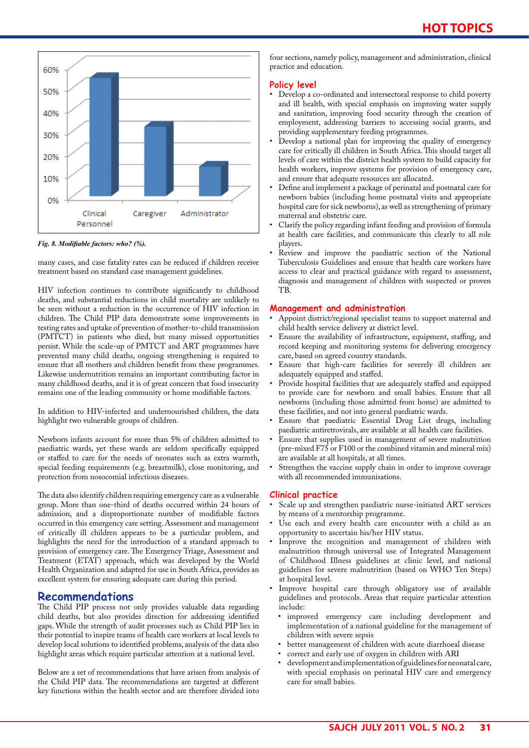![](_page_3_Figure_1.jpeg)

*Fig. 8. Modifiable factors: who? (%).*

many cases, and case fatality rates can be reduced if children receive treatment based on standard case management guidelines.

HIV infection continues to contribute significantly to childhood deaths, and substantial reductions in child mortality are unlikely to be seen without a reduction in the occurrence of HIV infection in children. The Child PIP data demonstrate some improvements in testing rates and uptake of prevention of mother-to-child transmission (PMTCT) in patients who died, but many missed opportunities persist. While the scale-up of PMTCT and ART programmes have prevented many child deaths, ongoing strengthening is required to ensure that all mothers and children benefit from these programmes. Likewise undernutrition remains an important contributing factor in many childhood deaths, and it is of great concern that food insecurity remains one of the leading community or home modifiable factors.

In addition to HIV-infected and undernourished children, the data highlight two vulnerable groups of children.

Newborn infants account for more than 5% of children admitted to paediatric wards, yet these wards are seldom specifically equipped or staffed to care for the needs of neonates such as extra warmth, special feeding requirements (e.g. breastmilk), close monitoring, and protection from nosocomial infectious diseases.

The data also identify children requiring emergency care as a vulnerable group. More than one-third of deaths occurred within 24 hours of admission, and a disproportionate number of modifiable factors occurred in this emergency care setting. Assessment and management of critically ill children appears to be a particular problem, and highlights the need for the introduction of a standard approach to provision of emergency care. The Emergency Triage, Assessment and Treatment (ETAT) approach, which was developed by the World Health Organization and adapted for use in South Africa, provides an excellent system for ensuring adequate care during this period.

# **Recommendations**

The Child PIP process not only provides valuable data regarding child deaths, but also provides direction for addressing identified gaps. While the strength of audit processes such as Child PIP lies in their potential to inspire teams of health care workers at local levels to develop local solutions to identified problems, analysis of the data also highlight areas which require particular attention at a national level.

Below are a set of recommendations that have arisen from analysis of the Child PIP data. The recommendations are targeted at different key functions within the health sector and are therefore divided into

four sections, namely policy, management and administration, clinical practice and education.

## **Policy level**

- Develop a co-ordinated and intersectoral response to child poverty and ill health, with special emphasis on improving water supply and sanitation, improving food security through the creation of employment, addressing barriers to accessing social grants, and providing supplementary feeding programmes.
- Develop a national plan for improving the quality of emergency care for critically ill children in South Africa. This should target all levels of care within the district health system to build capacity for health workers, improve systems for provision of emergency care, and ensure that adequate resources are allocated.
- Define and implement a package of perinatal and postnatal care for newborn babies (including home postnatal visits and appropriate hospital care for sick newborns), as well as strengthening of primary maternal and obstetric care.
- Clarify the policy regarding infant feeding and provision of formula at health care facilities, and communicate this clearly to all role players.
- Review and improve the paediatric section of the National Tuberculosis Guidelines and ensure that health care workers have access to clear and practical guidance with regard to assessment, diagnosis and management of children with suspected or proven TB.

#### **Management and administration**

- Appoint district/regional specialist teams to support maternal and child health service delivery at district level.
- Ensure the availability of infrastructure, equipment, staffing, and record keeping and monitoring systems for delivering emergency care, based on agreed country standards.
- Ensure that high-care facilities for severely ill children are adequately equipped and staffed.
- Provide hospital facilities that are adequately staffed and equipped to provide care for newborn and small babies. Ensure that all newborns (including those admitted from home) are admitted to these facilities, and not into general paediatric wards.
- Ensure that paediatric Essential Drug List drugs, including paediatric antiretrovirals, are available at all health care facilities.
- Ensure that supplies used in management of severe malnutrition (pre-mixed F75 or F100 or the combined vitamin and mineral mix) are available at all hospitals, at all times.
- Strengthen the vaccine supply chain in order to improve coverage with all recommended immunisations.

### **Clinical practice**

- Scale up and strengthen paediatric nurse-initiated ART services by means of a mentorship programme.
- Use each and every health care encounter with a child as an opportunity to ascertain his/her HIV status.
- Improve the recognition and management of children with malnutrition through universal use of Integrated Management of Childhood Illness guidelines at clinic level, and national guidelines for severe malnutrition (based on WHO Ten Steps) at hospital level.
- Improve hospital care through obligatory use of available guidelines and protocols. Areas that require particular attention include:
	- improved emergency care including development and implementation of a national guideline for the management of children with severe sepsis
	- better management of children with acute diarrhoeal disease
- correct and early use of oxygen in children with ARI
- development and implementation of guidelines for neonatal care, with special emphasis on perinatal HIV care and emergency care for small babies.